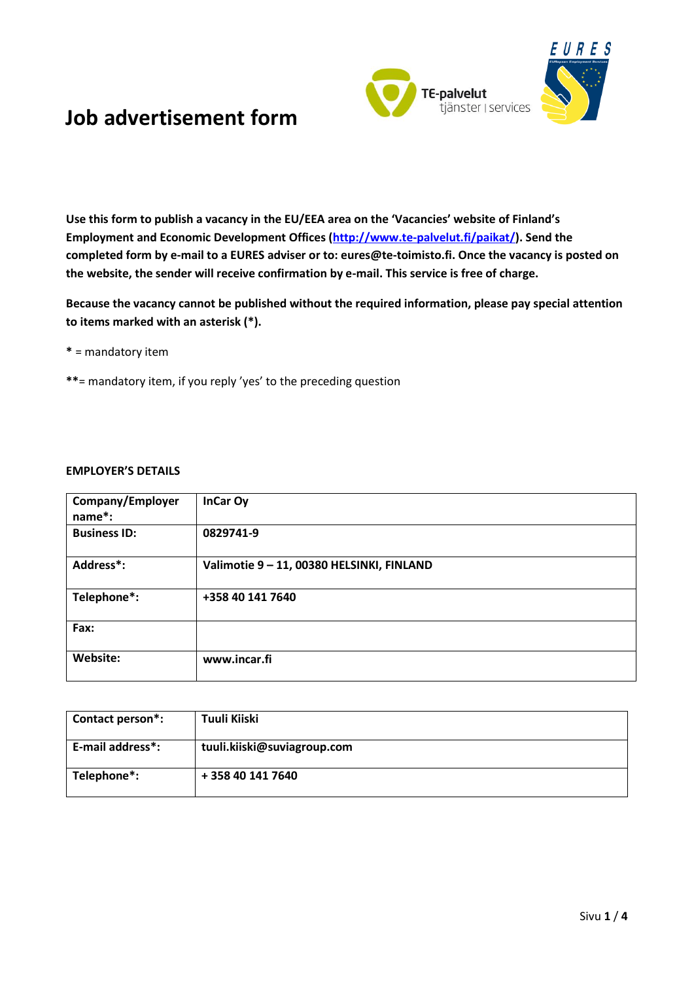

**Use this form to publish a vacancy in the EU/EEA area on the 'Vacancies' website of Finland's Employment and Economic Development Offices [\(http://www.te-palvelut.fi/paikat/\)](http://www.te-palvelut.fi/paikat/). Send the completed form by e-mail to a EURES adviser or to: eures@te-toimisto.fi. Once the vacancy is posted on the website, the sender will receive confirmation by e-mail. This service is free of charge.**

**Because the vacancy cannot be published without the required information, please pay special attention to items marked with an asterisk (\*).**

- **\*** = mandatory item
- **\*\***= mandatory item, if you reply 'yes' to the preceding question

### **EMPLOYER'S DETAILS**

| Company/Employer<br>name*: | InCar Oy                                |
|----------------------------|-----------------------------------------|
| <b>Business ID:</b>        | 0829741-9                               |
| Address*:                  | Valimotie 9-11, 00380 HELSINKI, FINLAND |
| Telephone*:                | +358 40 141 7640                        |
| Fax:                       |                                         |
| Website:                   | www.incar.fi                            |

| Contact person*: | Tuuli Kiiski                |
|------------------|-----------------------------|
| E-mail address*: | tuuli.kiiski@suviagroup.com |
| Telephone*:      | + 358 40 141 7640           |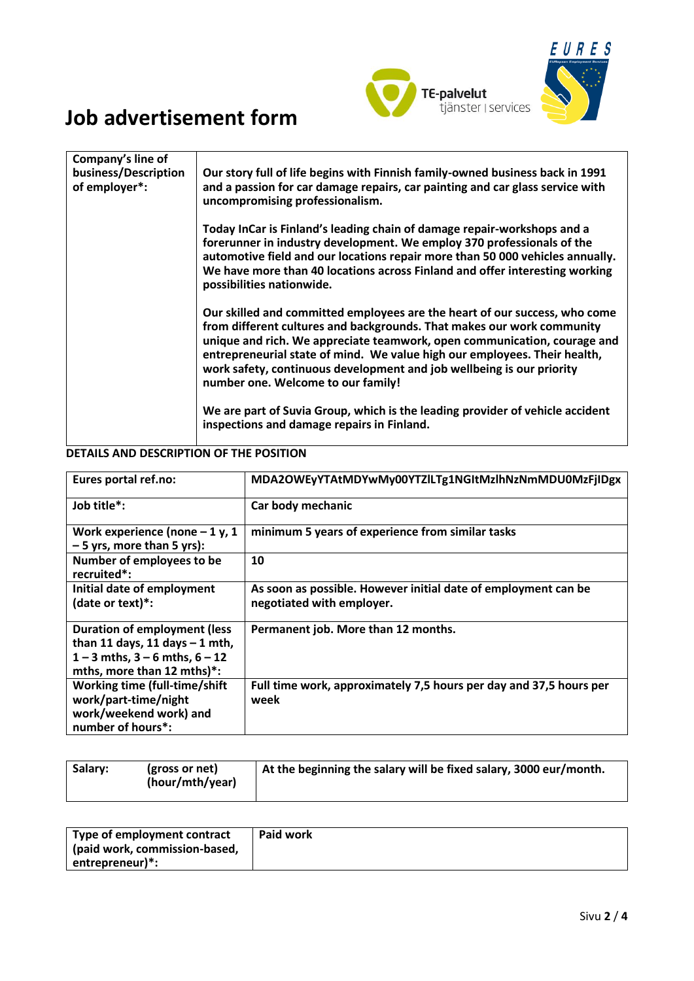



| Company's line of<br>business/Description<br>of employer*: | Our story full of life begins with Finnish family-owned business back in 1991<br>and a passion for car damage repairs, car painting and car glass service with<br>uncompromising professionalism.                                                                                                                                                                                                                            |
|------------------------------------------------------------|------------------------------------------------------------------------------------------------------------------------------------------------------------------------------------------------------------------------------------------------------------------------------------------------------------------------------------------------------------------------------------------------------------------------------|
|                                                            | Today InCar is Finland's leading chain of damage repair-workshops and a<br>forerunner in industry development. We employ 370 professionals of the<br>automotive field and our locations repair more than 50 000 vehicles annually.<br>We have more than 40 locations across Finland and offer interesting working<br>possibilities nationwide.                                                                               |
|                                                            | Our skilled and committed employees are the heart of our success, who come<br>from different cultures and backgrounds. That makes our work community<br>unique and rich. We appreciate teamwork, open communication, courage and<br>entrepreneurial state of mind. We value high our employees. Their health,<br>work safety, continuous development and job wellbeing is our priority<br>number one. Welcome to our family! |
|                                                            | We are part of Suvia Group, which is the leading provider of vehicle accident<br>inspections and damage repairs in Finland.                                                                                                                                                                                                                                                                                                  |

### **DETAILS AND DESCRIPTION OF THE POSITION**

| Eures portal ref.no:                                                                                                                         | MDA2OWEyYTAtMDYwMy00YTZlLTg1NGItMzlhNzNmMDU0MzFjIDgx                                        |
|----------------------------------------------------------------------------------------------------------------------------------------------|---------------------------------------------------------------------------------------------|
| Job title*:                                                                                                                                  | Car body mechanic                                                                           |
| Work experience (none $-1$ y, 1<br>$-5$ yrs, more than 5 yrs):                                                                               | minimum 5 years of experience from similar tasks                                            |
| Number of employees to be<br>recruited*:                                                                                                     | 10                                                                                          |
| Initial date of employment<br>(date or text)*:                                                                                               | As soon as possible. However initial date of employment can be<br>negotiated with employer. |
| <b>Duration of employment (less</b><br>than 11 days, 11 days $-1$ mth,<br>$1 - 3$ mths, $3 - 6$ mths, $6 - 12$<br>mths, more than 12 mths)*: | Permanent job. More than 12 months.                                                         |
| Working time (full-time/shift<br>work/part-time/night<br>work/weekend work) and<br>number of hours <sup>*</sup> :                            | Full time work, approximately 7,5 hours per day and 37,5 hours per<br>week                  |

| Salary: | (gross or net)<br>(hour/mth/year) | At the beginning the salary will be fixed salary, 3000 eur/month. |
|---------|-----------------------------------|-------------------------------------------------------------------|
|         |                                   |                                                                   |

| Type of employment contract   | Paid work |
|-------------------------------|-----------|
| (paid work, commission-based, |           |
| entrepreneur)*:               |           |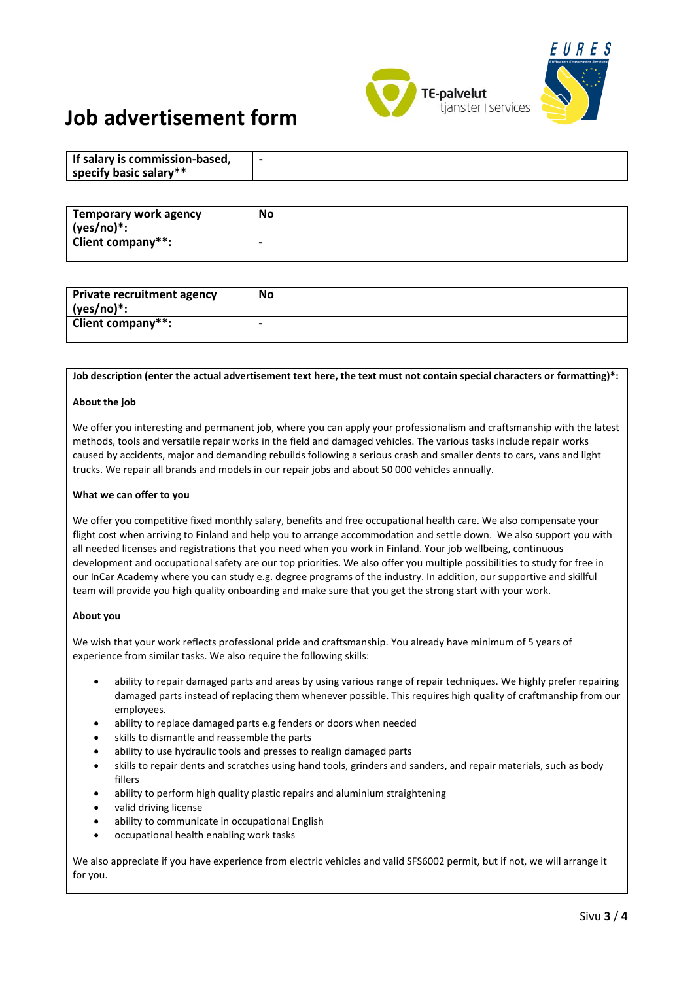

| If salary is commission-based, |  |
|--------------------------------|--|
| specify basic salary**         |  |

| Temporary work agency<br>$(yes/no)*:$ | <b>No</b> |
|---------------------------------------|-----------|
| <b>Client company**:</b>              |           |

| Private recruitment agency<br>(yes/no)*: | No |
|------------------------------------------|----|
| Client company**:                        |    |

#### **Job description (enter the actual advertisement text here, the text must not contain special characters or formatting)\*:**

#### **About the job**

We offer you interesting and permanent job, where you can apply your professionalism and craftsmanship with the latest methods, tools and versatile repair works in the field and damaged vehicles. The various tasks include repair works caused by accidents, major and demanding rebuilds following a serious crash and smaller dents to cars, vans and light trucks. We repair all brands and models in our repair jobs and about 50 000 vehicles annually.

#### **What we can offer to you**

We offer you competitive fixed monthly salary, benefits and free occupational health care. We also compensate your flight cost when arriving to Finland and help you to arrange accommodation and settle down. We also support you with all needed licenses and registrations that you need when you work in Finland. Your job wellbeing, continuous development and occupational safety are our top priorities. We also offer you multiple possibilities to study for free in our InCar Academy where you can study e.g. degree programs of the industry. In addition, our supportive and skillful team will provide you high quality onboarding and make sure that you get the strong start with your work.

#### **About you**

We wish that your work reflects professional pride and craftsmanship. You already have minimum of 5 years of experience from similar tasks. We also require the following skills:

- ability to repair damaged parts and areas by using various range of repair techniques. We highly prefer repairing damaged parts instead of replacing them whenever possible. This requires high quality of craftmanship from our employees.
- ability to replace damaged parts e.g fenders or doors when needed
- skills to dismantle and reassemble the parts
- ability to use hydraulic tools and presses to realign damaged parts
- skills to repair dents and scratches using hand tools, grinders and sanders, and repair materials, such as body fillers
- ability to perform high quality plastic repairs and aluminium straightening
- valid driving license
- ability to communicate in occupational English
- occupational health enabling work tasks

We also appreciate if you have experience from electric vehicles and valid SFS6002 permit, but if not, we will arrange it for you.